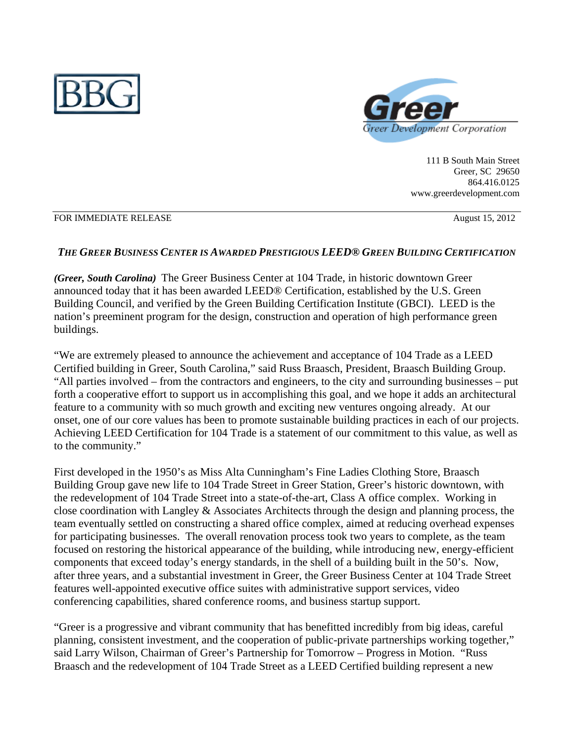



111 B South Main Street Greer, SC 29650 864.416.0125 www.greerdevelopment.com

#### FOR IMMEDIATE RELEASE August 15, 2012

### *THE GREER BUSINESS CENTER IS AWARDED PRESTIGIOUS LEED® GREEN BUILDING CERTIFICATION*

*(Greer, South Carolina)*The Greer Business Center at 104 Trade, in historic downtown Greer announced today that it has been awarded LEED® Certification, established by the U.S. Green Building Council, and verified by the Green Building Certification Institute (GBCI).LEED is the nation's preeminent program for the design, construction and operation of high performance green buildings.

"We are extremely pleased to announce the achievement and acceptance of 104 Trade as a LEED Certified building in Greer, South Carolina," said Russ Braasch, President, Braasch Building Group. "All parties involved – from the contractors and engineers, to the city and surrounding businesses – put forth a cooperative effort to support us in accomplishing this goal, and we hope it adds an architectural feature to a community with so much growth and exciting new ventures ongoing already. At our onset, one of our core values has been to promote sustainable building practices in each of our projects. Achieving LEED Certification for 104 Trade is a statement of our commitment to this value, as well as to the community."

First developed in the 1950's as Miss Alta Cunningham's Fine Ladies Clothing Store, Braasch Building Group gave new life to 104 Trade Street in Greer Station, Greer's historic downtown, with the redevelopment of 104 Trade Street into a state-of-the-art, Class A office complex. Working in close coordination with Langley & Associates Architects through the design and planning process, the team eventually settled on constructing a shared office complex, aimed at reducing overhead expenses for participating businesses. The overall renovation process took two years to complete, as the team focused on restoring the historical appearance of the building, while introducing new, energy-efficient components that exceed today's energy standards, in the shell of a building built in the 50's. Now, after three years, and a substantial investment in Greer, the Greer Business Center at 104 Trade Street features well-appointed executive office suites with administrative support services, video conferencing capabilities, shared conference rooms, and business startup support.

"Greer is a progressive and vibrant community that has benefitted incredibly from big ideas, careful planning, consistent investment, and the cooperation of public-private partnerships working together," said Larry Wilson, Chairman of Greer's Partnership for Tomorrow – Progress in Motion. "Russ Braasch and the redevelopment of 104 Trade Street as a LEED Certified building represent a new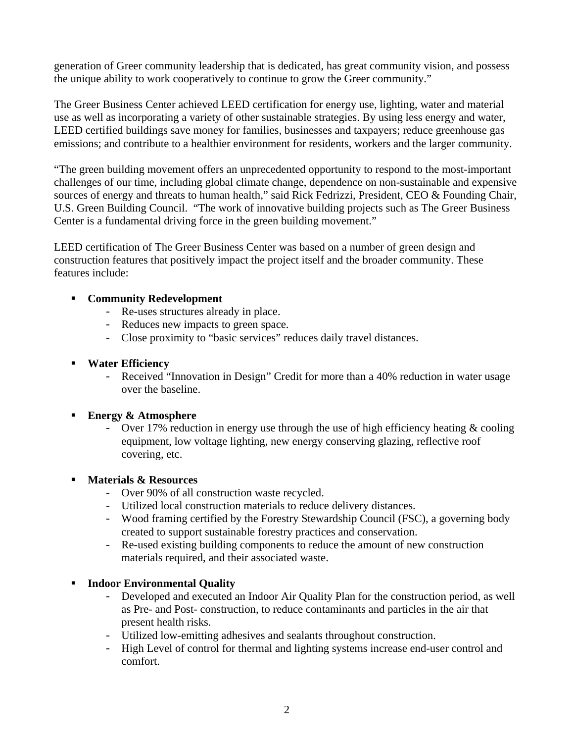generation of Greer community leadership that is dedicated, has great community vision, and possess the unique ability to work cooperatively to continue to grow the Greer community."

The Greer Business Center achieved LEED certification for energy use, lighting, water and material use as well as incorporating a variety of other sustainable strategies. By using less energy and water, LEED certified buildings save money for families, businesses and taxpayers; reduce greenhouse gas emissions; and contribute to a healthier environment for residents, workers and the larger community.

"The green building movement offers an unprecedented opportunity to respond to the most-important challenges of our time, including global climate change, dependence on non-sustainable and expensive sources of energy and threats to human health," said Rick Fedrizzi, President, CEO & Founding Chair, U.S. Green Building Council. "The work of innovative building projects such as The Greer Business Center is a fundamental driving force in the green building movement."

LEED certification of The Greer Business Center was based on a number of green design and construction features that positively impact the project itself and the broader community. These features include:

# **Community Redevelopment**

- Re-uses structures already in place.
- Reduces new impacts to green space.
- Close proximity to "basic services" reduces daily travel distances.

### **Water Efficiency**

- Received "Innovation in Design" Credit for more than a 40% reduction in water usage over the baseline.

### **Energy & Atmosphere**

- Over 17% reduction in energy use through the use of high efficiency heating  $\&$  cooling equipment, low voltage lighting, new energy conserving glazing, reflective roof covering, etc.

### **Materials & Resources**

- Over 90% of all construction waste recycled.
- Utilized local construction materials to reduce delivery distances.
- Wood framing certified by the Forestry Stewardship Council (FSC), a governing body created to support sustainable forestry practices and conservation.
- Re-used existing building components to reduce the amount of new construction materials required, and their associated waste.

### **Indoor Environmental Quality**

- Developed and executed an Indoor Air Quality Plan for the construction period, as well as Pre- and Post- construction, to reduce contaminants and particles in the air that present health risks.
- Utilized low-emitting adhesives and sealants throughout construction.
- High Level of control for thermal and lighting systems increase end-user control and comfort.